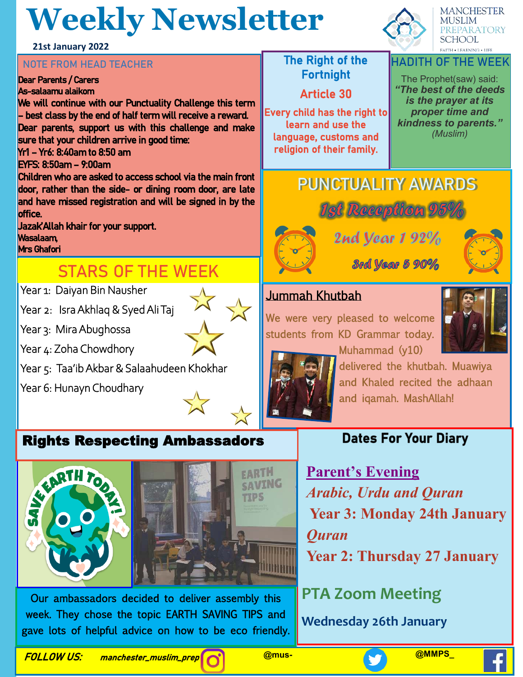# **Weekly Newsletter**

### **21st January 2022**

## **NOTE FROM HEAD TEACHER** THE RIGHT THE Right of the

#### Dear Parents / Carers As-salaamu alaikom

We will continue with our Punctuality Challenge this term – best class by the end of half term will receive a reward. Dear parents, support us with this challenge and make sure that your children arrive in good time:

### Yr1 – Yr6: 8:40am to 8:50 am

EYFS: 8:50am – 9:00am

Children who are asked to access school via the main front door, rather than the side- or dining room door, are late and have missed registration and will be signed in by the office.

Jazak'Allah khair for your support. Wasalaam, Mrs Ghafori

## **STARS OF THE WEEK**

Year 1: Daiyan Bin Nausher

Year 2: Isra Akhlaq & Syed Ali Taj

Year 3: Mira Abughossa

Year 4: Zoha Chowdhory

Year 5: Taa'ib Akbar & Salaahudeen Khokhar

Year 6: Hunayn Choudhary

#### production. Rights Respecting Ambassadors



Our ambassadors decided to deliver assembly this week. They chose the topic EARTH SAVING TIPS and gave lots of helpful advice on how to be eco friendly.

Fortnight

Article 30

Every child has the right to learn and use the language, customs and religion of their family.



**MANCHESTER MUSLIM** 

**PREPARATORY** 

### The Prophet(saw) said: *"The best of the deeds is the prayer at its proper time and*

*kindness to parents." (Muslim)*

## **PUNCTUALITY AWARDS**



2nd year 192%



**3rd year 5 90%** 

## Jummah Khutbah

We were very pleased to welcome students from KD Grammar today.





Muhammad (y10) delivered the khutbah. Muawiya and Khaled recited the adhaan and iqamah. MashAllah!

## **Dates For Your Diary**

**Parent's Evening** *Arabic, Urdu and Quran*  **Year 3: Monday 24th January** *Quran*  **Year 2: Thursday 27 January**

**PTA Zoom Meeting**

**Wednesday 26th January**

FOLLOW US: manchester\_muslim\_prep **@mus- @MMPS\_**